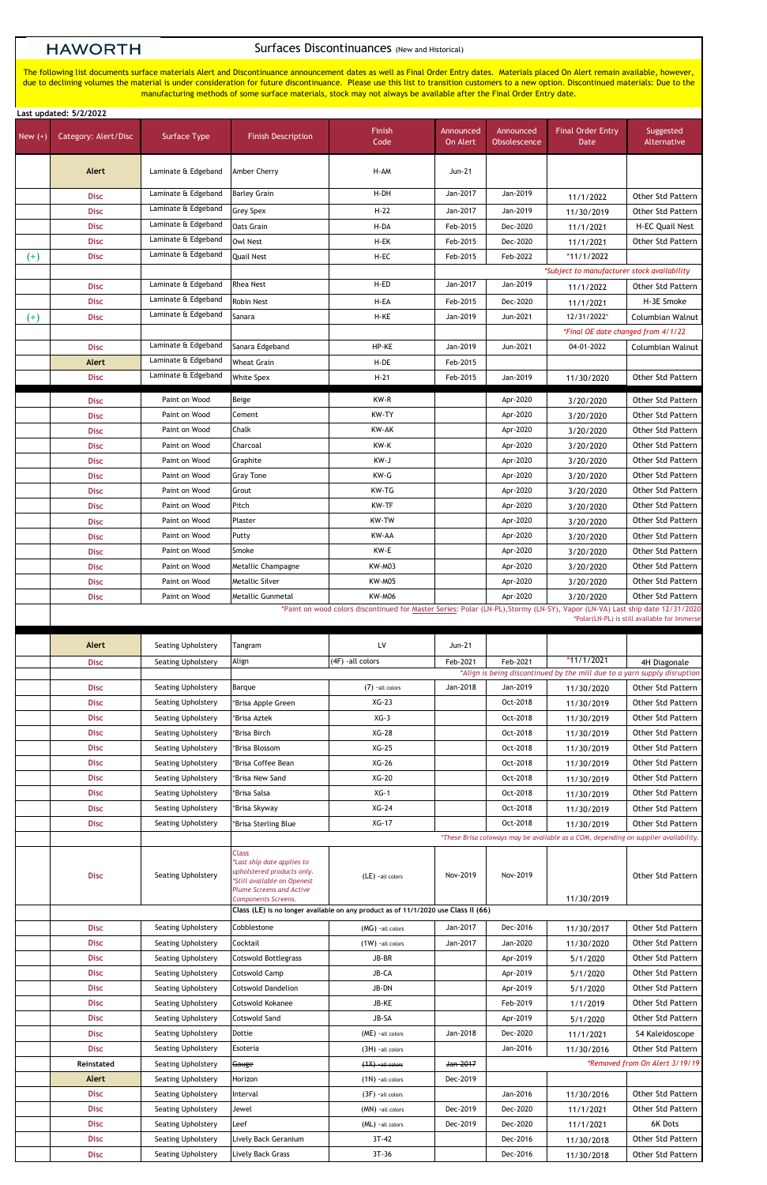## **HAWORTH**

## Surfaces Discontinuances (New and Historical)

|           | Last updated: 5/2/2022                                                                                                                                                       |                           |                           |                   |                       |                           |                                                                                      |                          |
|-----------|------------------------------------------------------------------------------------------------------------------------------------------------------------------------------|---------------------------|---------------------------|-------------------|-----------------------|---------------------------|--------------------------------------------------------------------------------------|--------------------------|
| New $(+)$ | Category: Alert/Disc                                                                                                                                                         | Surface Type              | <b>Finish Description</b> | Finish<br>Code    | Announced<br>On Alert | Announced<br>Obsolescence | <b>Final Order Entry</b><br>Date                                                     | Suggested<br>Alternative |
|           | Alert                                                                                                                                                                        | Laminate & Edgeband       | Amber Cherry              | H-AM              | Jun-21                |                           |                                                                                      |                          |
|           | <b>Disc</b>                                                                                                                                                                  | Laminate & Edgeband       | <b>Barley Grain</b>       | H-DH              | Jan-2017              | Jan-2019                  | 11/1/2022                                                                            | Other Std Pattern        |
|           | <b>Disc</b>                                                                                                                                                                  | Laminate & Edgeband       | <b>Grey Spex</b>          | $H-22$            | Jan-2017              | Jan-2019                  | 11/30/2019                                                                           | <b>Other Std Pattern</b> |
|           | <b>Disc</b>                                                                                                                                                                  | Laminate & Edgeband       | Oats Grain                | H-DA              | Feb-2015              | Dec-2020                  | 11/1/2021                                                                            | H-EC Quail Nest          |
|           | <b>Disc</b>                                                                                                                                                                  | Laminate & Edgeband       | <b>Owl Nest</b>           | H-EK              | Feb-2015              | Dec-2020                  | 11/1/2021                                                                            | Other Std Pattern        |
| $^{(+)}$  | <b>Disc</b>                                                                                                                                                                  | Laminate & Edgeband       | Quail Nest                | H-EC              | Feb-2015              | Feb-2022                  | *11/1/2022                                                                           |                          |
|           |                                                                                                                                                                              |                           |                           |                   |                       |                           | *Subject to manufacturer stock availability                                          |                          |
|           | <b>Disc</b>                                                                                                                                                                  | Laminate & Edgeband       | <b>Rhea Nest</b>          | H-ED              | Jan-2017              | Jan-2019                  | 11/1/2022                                                                            | Other Std Pattern        |
|           | <b>Disc</b>                                                                                                                                                                  | Laminate & Edgeband       | <b>Robin Nest</b>         | H-EA              | Feb-2015              | Dec-2020                  | 11/1/2021                                                                            | H-3E Smoke               |
| $^{(+)}$  | <b>Disc</b>                                                                                                                                                                  | Laminate & Edgeband       | Sanara                    | H-KE              | Jan-2019              | Jun-2021                  | 12/31/2022*                                                                          | <b>Columbian Walnut</b>  |
|           |                                                                                                                                                                              |                           |                           |                   |                       |                           | *Final OE date changed from 4/1/22                                                   |                          |
|           | <b>Disc</b>                                                                                                                                                                  | Laminate & Edgeband       | Sanara Edgeband           | HP-KE             | Jan-2019              | Jun-2021                  | 04-01-2022                                                                           | Columbian Walnut         |
|           | <b>Alert</b>                                                                                                                                                                 | Laminate & Edgeband       | <b>Wheat Grain</b>        | H-DE              | Feb-2015              |                           |                                                                                      |                          |
|           | <b>Disc</b>                                                                                                                                                                  | Laminate & Edgeband       | <b>White Spex</b>         | $H-21$            | Feb-2015              | Jan-2019                  | 11/30/2020                                                                           | Other Std Pattern        |
|           | <b>Disc</b>                                                                                                                                                                  | Paint on Wood             | Beige                     | KW-R              |                       | Apr-2020                  | 3/20/2020                                                                            | Other Std Pattern        |
|           | <b>Disc</b>                                                                                                                                                                  | Paint on Wood             | Cement                    | KW-TY             |                       | Apr-2020                  | 3/20/2020                                                                            | <b>Other Std Pattern</b> |
|           | <b>Disc</b>                                                                                                                                                                  | Paint on Wood             | Chalk                     | KW-AK             |                       | Apr-2020                  | 3/20/2020                                                                            | Other Std Pattern        |
|           | <b>Disc</b>                                                                                                                                                                  | Paint on Wood             | Charcoal                  | KW-K              |                       | Apr-2020                  | 3/20/2020                                                                            | Other Std Pattern        |
|           | <b>Disc</b>                                                                                                                                                                  | Paint on Wood             | Graphite                  | KW-J              |                       | Apr-2020                  | 3/20/2020                                                                            | <b>Other Std Pattern</b> |
|           | <b>Disc</b>                                                                                                                                                                  | Paint on Wood             | <b>Gray Tone</b>          | KW-G              |                       | Apr-2020                  | 3/20/2020                                                                            | <b>Other Std Pattern</b> |
|           | <b>Disc</b>                                                                                                                                                                  | Paint on Wood             | Grout                     | KW-TG             |                       | Apr-2020                  | 3/20/2020                                                                            | <b>Other Std Pattern</b> |
|           | <b>Disc</b>                                                                                                                                                                  | Paint on Wood             | Pitch                     | KW-TF             |                       | Apr-2020                  | 3/20/2020                                                                            | Other Std Pattern        |
|           | <b>Disc</b>                                                                                                                                                                  | Paint on Wood             | Plaster                   | KW-TW             |                       | Apr-2020                  | 3/20/2020                                                                            | Other Std Pattern        |
|           | <b>Disc</b>                                                                                                                                                                  | Paint on Wood             | Putty                     | KW-AA             |                       | Apr-2020                  | 3/20/2020                                                                            | Other Std Pattern        |
|           | <b>Disc</b>                                                                                                                                                                  | Paint on Wood             | Smoke                     | KW-E              |                       | Apr-2020                  | 3/20/2020                                                                            | <b>Other Std Pattern</b> |
|           | <b>Disc</b>                                                                                                                                                                  | Paint on Wood             | Metallic Champagne        | <b>KW-M03</b>     |                       | Apr-2020                  | 3/20/2020                                                                            | <b>Other Std Pattern</b> |
|           | <b>Disc</b>                                                                                                                                                                  | Paint on Wood             | <b>Metallic Silver</b>    | KW-M05            |                       | Apr-2020                  | 3/20/2020                                                                            | Other Std Pattern        |
|           | <b>Disc</b>                                                                                                                                                                  | Paint on Wood             | Metallic Gunmetal         | <b>KW-M06</b>     |                       | Apr-2020                  | 3/20/2020                                                                            | Other Std Pattern        |
|           | *Paint on wood colors discontinued for Master Series: Polar (LN-PL), Stormy (LN-SY), Vapor (LN-VA) Last ship date 12/31/2020<br>*Polar(LN-PL) is still available for Immerse |                           |                           |                   |                       |                           |                                                                                      |                          |
|           | Alert                                                                                                                                                                        | Seating Upholstery        | Tangram                   | LV                | Jun-21                |                           |                                                                                      |                          |
|           | <b>Disc</b>                                                                                                                                                                  | <b>Seating Upholstery</b> | Align                     | (4F) -all colors  | Feb-2021              | Feb-2021                  | $*11/1/2021$                                                                         | 4H Diagonale             |
|           |                                                                                                                                                                              |                           |                           |                   |                       |                           | *Align is being discontinued by the mill due to a yarn supply disruption             |                          |
|           | <b>Disc</b>                                                                                                                                                                  | Seating Upholstery        | Barque                    | $(7)$ -all colors | Jan-2018              | Jan-2019                  | 11/30/2020                                                                           | <b>Other Std Pattern</b> |
|           | <b>Disc</b>                                                                                                                                                                  | Seating Upholstery        | *Brisa Apple Green        | $XG-23$           |                       | Oct-2018                  | 11/30/2019                                                                           | Other Std Pattern        |
|           | <b>Disc</b>                                                                                                                                                                  | Seating Upholstery        | <b>Brisa Aztek</b>        | $XG-3$            |                       | Oct-2018                  | 11/30/2019                                                                           | <b>Other Std Pattern</b> |
|           | <b>Disc</b>                                                                                                                                                                  | Seating Upholstery        | 'Brisa Birch              | XG-28             |                       | Oct-2018                  | 11/30/2019                                                                           | Other Std Pattern        |
|           | <b>Disc</b>                                                                                                                                                                  | Seating Upholstery        | *Brisa Blossom            | $XG-25$           |                       | Oct-2018                  | 11/30/2019                                                                           | Other Std Pattern        |
|           | <b>Disc</b>                                                                                                                                                                  | Seating Upholstery        | 'Brisa Coffee Bean        | XG-26             |                       | Oct-2018                  | 11/30/2019                                                                           | <b>Other Std Pattern</b> |
|           | <b>Disc</b>                                                                                                                                                                  | Seating Upholstery        | <b>Brisa New Sand</b>     | XG-20             |                       | Oct-2018                  | 11/30/2019                                                                           | <b>Other Std Pattern</b> |
|           | <b>Disc</b>                                                                                                                                                                  | Seating Upholstery        | 'Brisa Salsa              | $XG-1$            |                       | Oct-2018                  | 11/30/2019                                                                           | Other Std Pattern        |
|           | <b>Disc</b>                                                                                                                                                                  | Seating Upholstery        | *Brisa Skyway             | $XG-24$           |                       | Oct-2018                  | 11/30/2019                                                                           | Other Std Pattern        |
|           | <b>Disc</b>                                                                                                                                                                  | Seating Upholstery        | *Brisa Sterling Blue      | $XG-17$           |                       | Oct-2018                  | 11/30/2019                                                                           | Other Std Pattern        |
|           |                                                                                                                                                                              |                           |                           |                   |                       |                           | *These Brisa coloways may be available as a COM, depending on supplier availability. |                          |
|           |                                                                                                                                                                              |                           | <b>Class</b>              |                   |                       |                           |                                                                                      |                          |

*\*Last ship date applies to* 

| <b>Disc</b> | <b>Seating Upholstery</b> | upholstered products only.<br>*Still available on Openest<br><b>Plume Screens and Active</b><br><b>Components Screens.</b> | (LE) -all colors                                                                   | Nov-2019 | Nov-2019 | 11/30/2019 | <b>Other Std Pattern</b>       |
|-------------|---------------------------|----------------------------------------------------------------------------------------------------------------------------|------------------------------------------------------------------------------------|----------|----------|------------|--------------------------------|
|             |                           |                                                                                                                            | Class (LE) is no longer available on any product as of 11/1/2020 use Class II (66) |          |          |            |                                |
| <b>Disc</b> | Seating Upholstery        | Cobblestone                                                                                                                | $(MG)$ -all colors                                                                 | Jan-2017 | Dec-2016 | 11/30/2017 | <b>Other Std Pattern</b>       |
| <b>Disc</b> | Seating Upholstery        | Cocktail                                                                                                                   | $(1W)$ -all colors                                                                 | Jan-2017 | Jan-2020 | 11/30/2020 | Other Std Pattern              |
| <b>Disc</b> | Seating Upholstery        | <b>Cotswold Bottlegrass</b>                                                                                                | JB-BR                                                                              |          | Apr-2019 | 5/1/2020   | Other Std Pattern              |
| <b>Disc</b> | Seating Upholstery        | Cotswold Camp                                                                                                              | JB-CA                                                                              |          | Apr-2019 | 5/1/2020   | Other Std Pattern              |
| <b>Disc</b> | Seating Upholstery        | <b>Cotswold Dandelion</b>                                                                                                  | JB-DN                                                                              |          | Apr-2019 | 5/1/2020   | Other Std Pattern              |
| <b>Disc</b> | Seating Upholstery        | Cotswold Kokanee                                                                                                           | JB-KE                                                                              |          | Feb-2019 | 1/1/2019   | <b>Other Std Pattern</b>       |
| <b>Disc</b> | Seating Upholstery        | Cotswold Sand                                                                                                              | JB-SA                                                                              |          | Apr-2019 | 5/1/2020   | <b>Other Std Pattern</b>       |
| <b>Disc</b> | Seating Upholstery        | Dottie                                                                                                                     | (ME) -all colors                                                                   | Jan-2018 | Dec-2020 | 11/1/2021  | S4 Kaleidoscope                |
| <b>Disc</b> | Seating Upholstery        | Esoteria                                                                                                                   | (3H) - all colors                                                                  |          | Jan-2016 | 11/30/2016 | Other Std Pattern              |
| Reinstated  | Seating Upholstery        | Gauge                                                                                                                      | $(1X)$ -all colors                                                                 | Jan-2017 |          |            | *Removed from On Alert 3/19/19 |
| Alert       | Seating Upholstery        | Horizon                                                                                                                    | $(1N)$ -all colors                                                                 | Dec-2019 |          |            |                                |
| <b>Disc</b> | Seating Upholstery        | Interval                                                                                                                   | $(3F)$ -all colors                                                                 |          | Jan-2016 | 11/30/2016 | <b>Other Std Pattern</b>       |
| <b>Disc</b> | Seating Upholstery        | Jewel                                                                                                                      | (MN) - all colors                                                                  | Dec-2019 | Dec-2020 | 11/1/2021  | <b>Other Std Pattern</b>       |
| <b>Disc</b> | Seating Upholstery        | Leef                                                                                                                       | (ML) -all colors                                                                   | Dec-2019 | Dec-2020 | 11/1/2021  | 6K Dots                        |
| <b>Disc</b> | Seating Upholstery        | Lively Back Geranium                                                                                                       | $3T-42$                                                                            |          | Dec-2016 | 11/30/2018 | Other Std Pattern              |
| <b>Disc</b> | Seating Upholstery        | Lively Back Grass                                                                                                          | $3T-36$                                                                            |          | Dec-2016 | 11/30/2018 | Other Std Pattern              |

The following list documents surface materials Alert and Discontinuance announcement dates as well as Final Order Entry dates. Materials placed On Alert remain available, however, due to declining volumes the material is under consideration for future discontinuance. Please use this list to transition customers to a new option. Discontinued materials: Due to the manufacturing methods of some surface materials, stock may not always be available after the Final Order Entry date.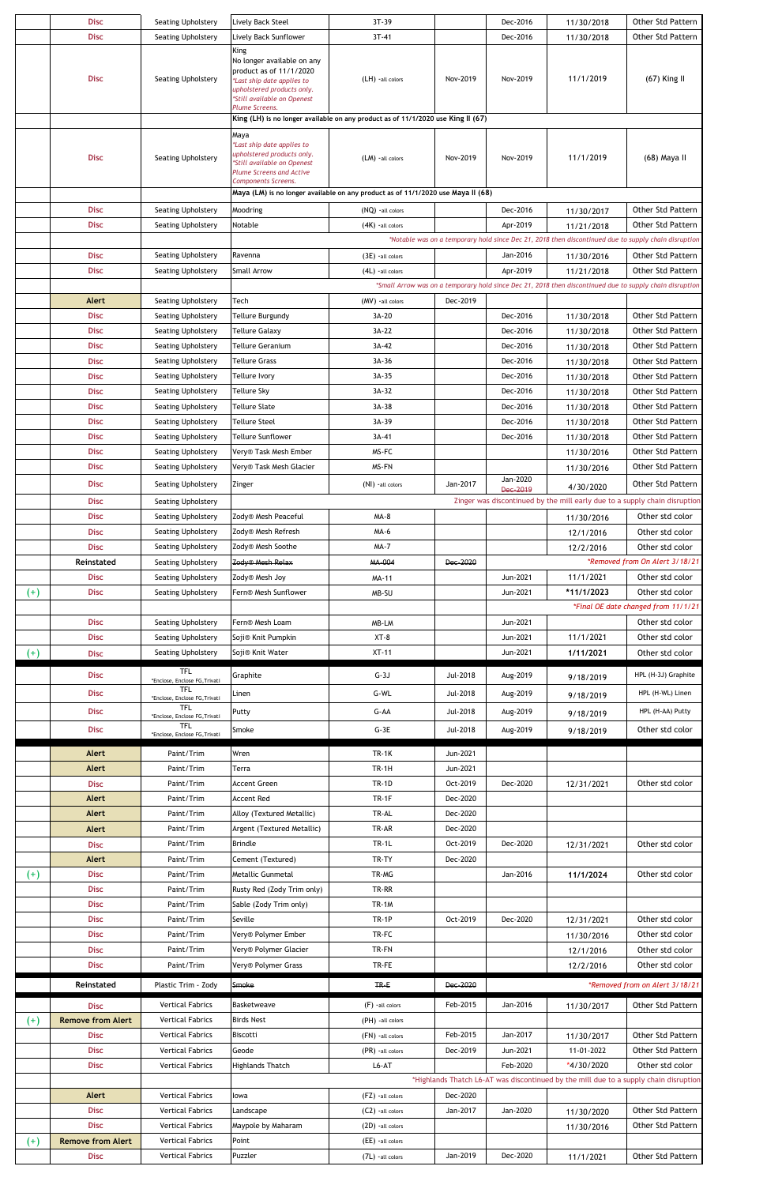|                      | <b>Disc</b>                             | Seating Upholstery                                 | Lively Back Steel                                                                                                          | 3T-39                                                                            |          | Dec-2016             | 11/30/2018 | Other Std Pattern                                                                                                             |  |  |  |
|----------------------|-----------------------------------------|----------------------------------------------------|----------------------------------------------------------------------------------------------------------------------------|----------------------------------------------------------------------------------|----------|----------------------|------------|-------------------------------------------------------------------------------------------------------------------------------|--|--|--|
|                      | <b>Disc</b>                             | Seating Upholstery                                 | Lively Back Sunflower                                                                                                      | $3T-41$                                                                          |          | Dec-2016             | 11/30/2018 | Other Std Pattern                                                                                                             |  |  |  |
|                      | <b>Disc</b>                             | Seating Upholstery                                 | <b>King</b><br>No longer available on any<br>product as of 11/1/2020<br>*Last ship date applies to                         | (LH) -all colors                                                                 | Nov-2019 | Nov-2019             | 11/1/2019  | $(67)$ King II                                                                                                                |  |  |  |
|                      |                                         |                                                    | upholstered products only.<br>*Still available on Openest                                                                  |                                                                                  |          |                      |            |                                                                                                                               |  |  |  |
|                      |                                         |                                                    | Plume Screens.                                                                                                             | King (LH) is no longer available on any product as of 11/1/2020 use King II (67) |          |                      |            |                                                                                                                               |  |  |  |
|                      | Maya                                    |                                                    |                                                                                                                            |                                                                                  |          |                      |            |                                                                                                                               |  |  |  |
|                      | <b>Disc</b>                             | Seating Upholstery                                 | *Last ship date applies to<br>upholstered products only.<br>*Still available on Openest<br><b>Plume Screens and Active</b> | (LM) - all colors                                                                | Nov-2019 | Nov-2019             | 11/1/2019  | (68) Maya II                                                                                                                  |  |  |  |
|                      |                                         |                                                    | Components Screens.                                                                                                        | Maya (LM) is no longer available on any product as of 11/1/2020 use Maya II (68) |          |                      |            |                                                                                                                               |  |  |  |
|                      |                                         |                                                    |                                                                                                                            |                                                                                  |          |                      |            |                                                                                                                               |  |  |  |
|                      | <b>Disc</b>                             | Seating Upholstery                                 | Moodring                                                                                                                   | (NQ) - all colors                                                                |          | Dec-2016             | 11/30/2017 | Other Std Pattern                                                                                                             |  |  |  |
|                      | <b>Disc</b>                             | Seating Upholstery                                 | Notable                                                                                                                    | $(4K)$ -all colors                                                               |          | Apr-2019             | 11/21/2018 | Other Std Pattern                                                                                                             |  |  |  |
|                      |                                         |                                                    |                                                                                                                            |                                                                                  |          |                      |            | *Notable was on a temporary hold since Dec 21, 2018 then discontinued due to supply chain disruption                          |  |  |  |
|                      | <b>Disc</b>                             | Seating Upholstery                                 | Ravenna                                                                                                                    | $(3E)$ -all colors                                                               |          | Jan-2016             | 11/30/2016 | <b>Other Std Pattern</b>                                                                                                      |  |  |  |
|                      | <b>Disc</b>                             | Seating Upholstery                                 | <b>Small Arrow</b>                                                                                                         | $(4L)$ -all colors                                                               |          | Apr-2019             | 11/21/2018 | Other Std Pattern<br>*Small Arrow was on a temporary hold since Dec 21, 2018 then discontinued due to supply chain disruption |  |  |  |
|                      |                                         |                                                    |                                                                                                                            |                                                                                  |          |                      |            |                                                                                                                               |  |  |  |
|                      | Alert                                   | Seating Upholstery                                 | Tech                                                                                                                       | (MV) - all colors                                                                | Dec-2019 |                      |            |                                                                                                                               |  |  |  |
|                      | <b>Disc</b>                             | Seating Upholstery                                 | <b>Tellure Burgundy</b>                                                                                                    | 3A-20                                                                            |          | Dec-2016             | 11/30/2018 | Other Std Pattern                                                                                                             |  |  |  |
|                      | <b>Disc</b>                             | Seating Upholstery                                 | <b>Tellure Galaxy</b>                                                                                                      | 3A-22                                                                            |          | Dec-2016             | 11/30/2018 | <b>Other Std Pattern</b>                                                                                                      |  |  |  |
|                      | <b>Disc</b>                             | Seating Upholstery                                 | <b>Tellure Geranium</b>                                                                                                    | 3A-42                                                                            |          | Dec-2016             | 11/30/2018 | Other Std Pattern                                                                                                             |  |  |  |
|                      | <b>Disc</b>                             | Seating Upholstery                                 | <b>Tellure Grass</b>                                                                                                       | 3A-36                                                                            |          | Dec-2016             | 11/30/2018 | <b>Other Std Pattern</b>                                                                                                      |  |  |  |
|                      | <b>Disc</b>                             | Seating Upholstery                                 | Tellure Ivory                                                                                                              | 3A-35                                                                            |          | Dec-2016             | 11/30/2018 | Other Std Pattern                                                                                                             |  |  |  |
|                      | <b>Disc</b>                             | Seating Upholstery                                 | Tellure Sky                                                                                                                | 3A-32                                                                            |          | Dec-2016             | 11/30/2018 | Other Std Pattern                                                                                                             |  |  |  |
|                      | <b>Disc</b>                             | Seating Upholstery                                 | Tellure Slate                                                                                                              | 3A-38                                                                            |          | Dec-2016             | 11/30/2018 | <b>Other Std Pattern</b>                                                                                                      |  |  |  |
|                      | <b>Disc</b>                             | Seating Upholstery                                 | <b>Tellure Steel</b>                                                                                                       | 3A-39                                                                            |          | Dec-2016             | 11/30/2018 | Other Std Pattern                                                                                                             |  |  |  |
|                      | <b>Disc</b>                             | Seating Upholstery                                 | <b>Tellure Sunflower</b>                                                                                                   | 3A-41                                                                            |          | Dec-2016             | 11/30/2018 | Other Std Pattern                                                                                                             |  |  |  |
|                      | <b>Disc</b>                             | Seating Upholstery                                 | Very® Task Mesh Ember                                                                                                      | MS-FC                                                                            |          |                      | 11/30/2016 | Other Std Pattern                                                                                                             |  |  |  |
|                      | <b>Disc</b>                             | Seating Upholstery                                 | Very® Task Mesh Glacier                                                                                                    | MS-FN                                                                            |          |                      | 11/30/2016 | Other Std Pattern                                                                                                             |  |  |  |
|                      | <b>Disc</b>                             | Seating Upholstery                                 | Zinger                                                                                                                     | (NI) -all colors                                                                 | Jan-2017 | Jan-2020<br>Dec-2019 | 4/30/2020  | Other Std Pattern                                                                                                             |  |  |  |
|                      | <b>Disc</b>                             | Seating Upholstery                                 |                                                                                                                            |                                                                                  |          |                      |            | Zinger was discontinued by the mill early due to a supply chain disruption                                                    |  |  |  |
|                      | <b>Disc</b>                             | Seating Upholstery                                 | Zody® Mesh Peaceful                                                                                                        | MA-8                                                                             |          |                      | 11/30/2016 | Other std color                                                                                                               |  |  |  |
|                      | <b>Disc</b>                             | Seating Upholstery                                 | Zody® Mesh Refresh                                                                                                         | MA-6                                                                             |          |                      | 12/1/2016  | Other std color                                                                                                               |  |  |  |
|                      | <b>Disc</b>                             | <b>Seating Upholstery</b>                          | Zody® Mesh Soothe                                                                                                          | <b>MA-7</b>                                                                      |          |                      | 12/2/2016  | Other std color                                                                                                               |  |  |  |
|                      | Reinstated                              | Seating Upholstery                                 | Zody <sup>®</sup> Mesh Relax                                                                                               | MA-004                                                                           | Dec-2020 |                      |            | *Removed from On Alert 3/18/21                                                                                                |  |  |  |
|                      | <b>Disc</b>                             | Seating Upholstery                                 | Zody® Mesh Joy                                                                                                             | MA-11                                                                            |          | Jun-2021             | 11/1/2021  | Other std color                                                                                                               |  |  |  |
| $^{(+)}$             | <b>Disc</b>                             | Seating Upholstery                                 | Fern® Mesh Sunflower                                                                                                       | MB-SU                                                                            |          | Jun-2021             | *11/1/2023 | Other std color                                                                                                               |  |  |  |
|                      |                                         |                                                    |                                                                                                                            |                                                                                  |          |                      |            | *Final OE date changed from 11/1/21                                                                                           |  |  |  |
|                      |                                         |                                                    |                                                                                                                            |                                                                                  |          |                      |            |                                                                                                                               |  |  |  |
|                      | <b>Disc</b>                             | Seating Upholstery                                 | Fern® Mesh Loam                                                                                                            | MB-LM                                                                            |          | Jun-2021             |            | Other std color                                                                                                               |  |  |  |
|                      | <b>Disc</b>                             | Seating Upholstery                                 | Soji® Knit Pumpkin                                                                                                         | $XT-8$                                                                           |          | Jun-2021             | 11/1/2021  | Other std color                                                                                                               |  |  |  |
|                      | <b>Disc</b>                             | Seating Upholstery                                 | Soji® Knit Water                                                                                                           | $XT-11$                                                                          |          | Jun-2021             | 1/11/2021  | Other std color                                                                                                               |  |  |  |
| $^{(+)}$             |                                         | <b>TFL</b>                                         |                                                                                                                            |                                                                                  |          |                      |            |                                                                                                                               |  |  |  |
|                      | <b>Disc</b>                             | *Enclose, Enclose FG, Trivati                      | Graphite                                                                                                                   | $G-3J$                                                                           | Jul-2018 | Aug-2019             | 9/18/2019  | HPL (H-3J) Graphite                                                                                                           |  |  |  |
|                      | <b>Disc</b>                             | <b>TFL</b><br>*Enclose, Enclose FG, Trivati        | Linen                                                                                                                      | G-WL                                                                             | Jul-2018 | Aug-2019             | 9/18/2019  | HPL (H-WL) Linen                                                                                                              |  |  |  |
|                      | <b>Disc</b>                             | <b>TFL</b><br>*Enclose, Enclose FG, Trivati        | Putty                                                                                                                      | G-AA                                                                             | Jul-2018 | Aug-2019             | 9/18/2019  | HPL (H-AA) Putty                                                                                                              |  |  |  |
|                      | <b>Disc</b>                             | <b>TFL</b>                                         | Smoke                                                                                                                      | $G-3E$                                                                           | Jul-2018 | Aug-2019             | 9/18/2019  | Other std color                                                                                                               |  |  |  |
|                      |                                         | *Enclose, Enclose FG, Trivati                      |                                                                                                                            |                                                                                  |          |                      |            |                                                                                                                               |  |  |  |
|                      | Alert                                   | Paint/Trim                                         | Wren                                                                                                                       | <b>TR-1K</b>                                                                     | Jun-2021 |                      |            |                                                                                                                               |  |  |  |
|                      | Alert                                   | Paint/Trim                                         | Terra                                                                                                                      | <b>TR-1H</b>                                                                     | Jun-2021 |                      |            |                                                                                                                               |  |  |  |
|                      | <b>Disc</b>                             | Paint/Trim                                         | <b>Accent Green</b>                                                                                                        | <b>TR-1D</b>                                                                     | Oct-2019 | Dec-2020             | 12/31/2021 | Other std color                                                                                                               |  |  |  |
|                      | Alert                                   | Paint/Trim                                         | <b>Accent Red</b>                                                                                                          | TR-1F                                                                            | Dec-2020 |                      |            |                                                                                                                               |  |  |  |
|                      | Alert                                   | Paint/Trim                                         | Alloy (Textured Metallic)                                                                                                  | TR-AL                                                                            | Dec-2020 |                      |            |                                                                                                                               |  |  |  |
|                      | Alert                                   | Paint/Trim                                         | Argent (Textured Metallic)                                                                                                 | TR-AR                                                                            | Dec-2020 |                      |            |                                                                                                                               |  |  |  |
|                      | <b>Disc</b>                             | Paint/Trim                                         | <b>Brindle</b>                                                                                                             | <b>TR-1L</b>                                                                     | Oct-2019 | Dec-2020             | 12/31/2021 | Other std color                                                                                                               |  |  |  |
|                      | Alert                                   | Paint/Trim                                         | Cement (Textured)                                                                                                          | TR-TY                                                                            | Dec-2020 |                      |            |                                                                                                                               |  |  |  |
|                      | <b>Disc</b>                             | Paint/Trim                                         | Metallic Gunmetal                                                                                                          | TR-MG                                                                            |          | Jan-2016             | 11/1/2024  | Other std color                                                                                                               |  |  |  |
|                      | <b>Disc</b>                             | Paint/Trim                                         | Rusty Red (Zody Trim only)                                                                                                 | TR-RR                                                                            |          |                      |            |                                                                                                                               |  |  |  |
|                      | <b>Disc</b>                             | Paint/Trim                                         | Sable (Zody Trim only)                                                                                                     | <b>TR-1M</b>                                                                     |          |                      |            |                                                                                                                               |  |  |  |
|                      | <b>Disc</b>                             | Paint/Trim                                         | Seville                                                                                                                    | TR-1P                                                                            | Oct-2019 | Dec-2020             | 12/31/2021 | Other std color                                                                                                               |  |  |  |
|                      | <b>Disc</b>                             | Paint/Trim                                         | Very® Polymer Ember                                                                                                        | TR-FC                                                                            |          |                      | 11/30/2016 | Other std color                                                                                                               |  |  |  |
|                      | <b>Disc</b>                             | Paint/Trim                                         | Very® Polymer Glacier                                                                                                      | TR-FN                                                                            |          |                      | 12/1/2016  | Other std color                                                                                                               |  |  |  |
|                      | <b>Disc</b>                             | Paint/Trim                                         | Very® Polymer Grass                                                                                                        | TR-FE                                                                            |          |                      | 12/2/2016  | Other std color                                                                                                               |  |  |  |
|                      |                                         |                                                    |                                                                                                                            |                                                                                  |          |                      |            |                                                                                                                               |  |  |  |
|                      | Reinstated                              | Plastic Trim - Zody                                | Smoke                                                                                                                      | $TR-E$                                                                           | Dec-2020 |                      |            |                                                                                                                               |  |  |  |
|                      | <b>Disc</b><br><b>Remove from Alert</b> | <b>Vertical Fabrics</b><br><b>Vertical Fabrics</b> | Basketweave<br><b>Birds Nest</b>                                                                                           | $(F)$ -all colors<br>(PH) - all colors                                           | Feb-2015 | Jan-2016             | 11/30/2017 | Other Std Pattern                                                                                                             |  |  |  |
|                      |                                         |                                                    |                                                                                                                            |                                                                                  |          |                      |            |                                                                                                                               |  |  |  |
| $^{(+)}$<br>$^{(+)}$ | <b>Disc</b>                             | <b>Vertical Fabrics</b>                            | Biscotti                                                                                                                   | (FN) -all colors                                                                 | Feb-2015 | Jan-2017             | 11/30/2017 |                                                                                                                               |  |  |  |
|                      | <b>Disc</b>                             | <b>Vertical Fabrics</b>                            | Geode                                                                                                                      | (PR) - all colors                                                                | Dec-2019 | Jun-2021             | 11-01-2022 | *Removed from on Alert 3/18/21<br><b>Other Std Pattern</b><br>Other Std Pattern                                               |  |  |  |
|                      | <b>Disc</b>                             | <b>Vertical Fabrics</b>                            | <b>Highlands Thatch</b>                                                                                                    | $L6 - AT$                                                                        |          | Feb-2020             | *4/30/2020 | Other std color                                                                                                               |  |  |  |
|                      |                                         |                                                    |                                                                                                                            |                                                                                  |          |                      |            | *Highlands Thatch L6-AT was discontinued by the mill due to a supply chain disruption                                         |  |  |  |
|                      | Alert                                   | <b>Vertical Fabrics</b>                            | lowa                                                                                                                       | (FZ) - all colors                                                                | Dec-2020 |                      |            |                                                                                                                               |  |  |  |
|                      | <b>Disc</b>                             | <b>Vertical Fabrics</b>                            | Landscape                                                                                                                  | (C2) -all colors                                                                 | Jan-2017 | Jan-2020             | 11/30/2020 | <b>Other Std Pattern</b>                                                                                                      |  |  |  |
|                      | <b>Disc</b>                             | <b>Vertical Fabrics</b>                            | Maypole by Maharam                                                                                                         | (2D) -all colors                                                                 |          |                      | 11/30/2016 | <b>Other Std Pattern</b>                                                                                                      |  |  |  |
| $^{(+)}$             | <b>Remove from Alert</b><br><b>Disc</b> | <b>Vertical Fabrics</b><br><b>Vertical Fabrics</b> | Point<br>Puzzler                                                                                                           | (EE) -all colors                                                                 | Jan-2019 | Dec-2020             | 11/1/2021  | Other Std Pattern                                                                                                             |  |  |  |